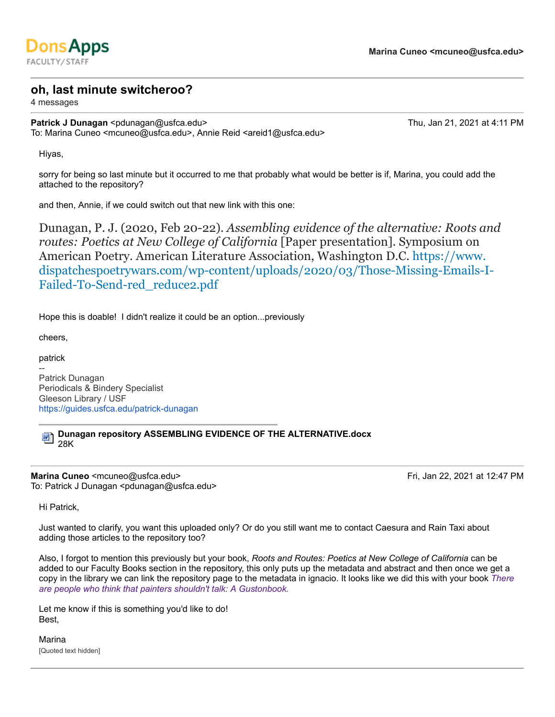

## **oh, last minute switcheroo?**

4 messages

**Patrick J Dunagan** <pdunagan@usfca.edu> Thu, Jan 21, 2021 at 4:11 PM To: Marina Cuneo <mcuneo@usfca.edu>, Annie Reid <areid1@usfca.edu>

Hiyas,

sorry for being so last minute but it occurred to me that probably what would be better is if, Marina, you could add the attached to the repository?

and then, Annie, if we could switch out that new link with this one:

Dunagan, P. J. (2020, Feb 20-22). *Assembling evidence of the alternative: Roots and routes: Poetics at New College of California* [Paper presentation]. Symposium on American Poetry. American Literature Association, Washington D.C. https://www. dispatchespoetrywars.com/wp-content/uploads/2020/03/Those-Missing-Emails-I-Failed-To-Send-red\_reduce2.pdf

Hope this is doable! I didn't realize it could be an option...previously

cheers,

patrick

-- Patrick Dunagan Periodicals & Bindery Specialist Gleeson Library / USF https://guides.usfca.edu/patrick-dunagan

**Dunagan repository ASSEMBLING EVIDENCE OF THE ALTERNATIVE.docx** 勔 28K

**Marina Cuneo** <mcuneo@usfca.edu> **Fri, Jan 22, 2021 at 12:47 PM** To: Patrick J Dunagan <pdunagan@usfca.edu>

Hi Patrick,

Just wanted to clarify, you want this uploaded only? Or do you still want me to contact Caesura and Rain Taxi about adding those articles to the repository too?

Also, I forgot to mention this previously but your book, *Roots and Routes: Poetics at New College of California* can be added to our Faculty Books section in the repository, this only puts up the metadata and abstract and then once we get a copy in the library we can link the repository page to the metadata in ignacio. It looks like we did this with your book *There are people who think that painters shouldn't talk: A Gustonbook.*

Let me know if this is something you'd like to do! Best,

Marina [Quoted text hidden]